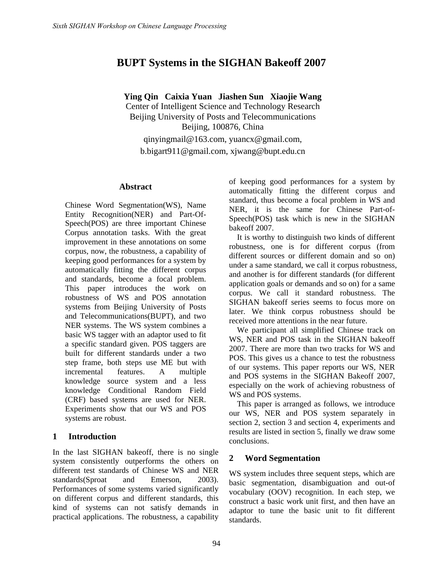# **BUPT Systems in the SIGHAN Bakeoff 2007**

**Ying Qin Caixia Yuan Jiashen Sun Xiaojie Wang**  Center of Intelligent Science and Technology Research Beijing University of Posts and Telecommunications Beijing, 100876, China qinyingmail@163.com, yuancx@gmail.com, b.bigart911@gmail.com, xjwang@bupt.edu.cn

### **Abstract**

Chinese Word Segmentation(WS), Name Entity Recognition(NER) and Part-Of-Speech(POS) are three important Chinese Corpus annotation tasks. With the great improvement in these annotations on some corpus, now, the robustness, a capability of keeping good performances for a system by automatically fitting the different corpus and standards, become a focal problem. This paper introduces the work on robustness of WS and POS annotation systems from Beijing University of Posts and Telecommunications(BUPT), and two NER systems. The WS system combines a basic WS tagger with an adaptor used to fit a specific standard given. POS taggers are built for different standards under a two step frame, both steps use ME but with incremental features. A multiple knowledge source system and a less knowledge Conditional Random Field (CRF) based systems are used for NER. Experiments show that our WS and POS systems are robust.

## **1 Introduction**

In the last SIGHAN bakeoff, there is no single system consistently outperforms the others on different test standards of Chinese WS and NER standards(Sproat and Emerson, 2003). Performances of some systems varied significantly on different corpus and different standards, this kind of systems can not satisfy demands in practical applications. The robustness, a capability of keeping good performances for a system by automatically fitting the different corpus and standard, thus become a focal problem in WS and NER, it is the same for Chinese Part-of-Speech(POS) task which is new in the SIGHAN bakeoff 2007.

It is worthy to distinguish two kinds of different robustness, one is for different corpus (from different sources or different domain and so on) under a same standard, we call it corpus robustness, and another is for different standards (for different application goals or demands and so on) for a same corpus. We call it standard robustness. The SIGHAN bakeoff series seems to focus more on later. We think corpus robustness should be received more attentions in the near future.

We participant all simplified Chinese track on WS, NER and POS task in the SIGHAN bakeoff 2007. There are more than two tracks for WS and POS. This gives us a chance to test the robustness of our systems. This paper reports our WS, NER and POS systems in the SIGHAN Bakeoff 2007, especially on the work of achieving robustness of WS and POS systems.

This paper is arranged as follows, we introduce our WS, NER and POS system separately in section 2, section 3 and section 4, experiments and results are listed in section 5, finally we draw some conclusions.

## **2 Word Segmentation**

WS system includes three sequent steps, which are basic segmentation, disambiguation and out-of vocabulary (OOV) recognition. In each step, we construct a basic work unit first, and then have an adaptor to tune the basic unit to fit different standards.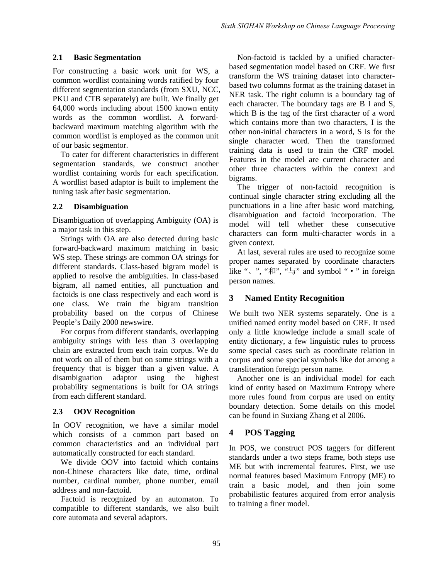#### **2.1 Basic Segmentation**

For constructing a basic work unit for WS, a common wordlist containing words ratified by four different segmentation standards (from SXU, NCC, PKU and CTB separately) are built. We finally get 64,000 words including about 1500 known entity words as the common wordlist. A forwardbackward maximum matching algorithm with the common wordlist is employed as the common unit of our basic segmentor.

To cater for different characteristics in different segmentation standards, we construct another wordlist containing words for each specification. A wordlist based adaptor is built to implement the tuning task after basic segmentation.

### **2.2 Disambiguation**

Disambiguation of overlapping Ambiguity (OA) is a major task in this step.

Strings with OA are also detected during basic forward-backward maximum matching in basic WS step. These strings are common OA strings for different standards. Class-based bigram model is applied to resolve the ambiguities. In class-based bigram, all named entities, all punctuation and factoids is one class respectively and each word is one class. We train the bigram transition probability based on the corpus of Chinese People's Daily 2000 newswire.

For corpus from different standards, overlapping ambiguity strings with less than 3 overlapping chain are extracted from each train corpus. We do not work on all of them but on some strings with a frequency that is bigger than a given value. A disambiguation adaptor using the highest probability segmentations is built for OA strings from each different standard.

## **2.3 OOV Recognition**

In OOV recognition, we have a similar model which consists of a common part based on common characteristics and an individual part automatically constructed for each standard.

We divide OOV into factoid which contains non-Chinese characters like date, time, ordinal number, cardinal number, phone number, email address and non-factoid.

Factoid is recognized by an automaton. To compatible to different standards, we also built core automata and several adaptors.

Non-factoid is tackled by a unified characterbased segmentation model based on CRF. We first transform the WS training dataset into characterbased two columns format as the training dataset in NER task. The right column is a boundary tag of each character. The boundary tags are B I and S, which B is the tag of the first character of a word which contains more than two characters, I is the other non-initial characters in a word, S is for the single character word. Then the transformed training data is used to train the CRF model. Features in the model are current character and other three characters within the context and bigrams.

The trigger of non-factoid recognition is continual single character string excluding all the punctuations in a line after basic word matching, disambiguation and factoid incorporation. The model will tell whether these consecutive characters can form multi-character words in a given context.

At last, several rules are used to recognize some proper names separated by coordinate characters like ", ", " $\overline{A}$ ", " $\overline{z}$ " and symbol " • " in foreign person names.

## **3 Named Entity Recognition**

We built two NER systems separately. One is a unified named entity model based on CRF. It used only a little knowledge include a small scale of entity dictionary, a few linguistic rules to process some special cases such as coordinate relation in corpus and some special symbols like dot among a transliteration foreign person name.

Another one is an individual model for each kind of entity based on Maximum Entropy where more rules found from corpus are used on entity boundary detection. Some details on this model can be found in Suxiang Zhang et al 2006.

## **4 POS Tagging**

In POS, we construct POS taggers for different standards under a two steps frame, both steps use ME but with incremental features. First, we use normal features based Maximum Entropy (ME) to train a basic model, and then join some probabilistic features acquired from error analysis to training a finer model.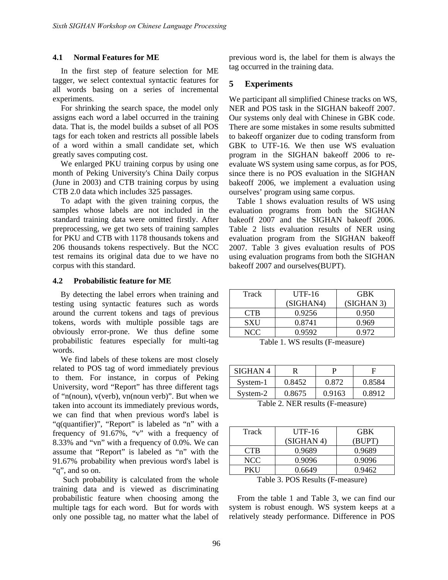#### **4.1 Normal Features for ME**

In the first step of feature selection for ME tagger, we select contextual syntactic features for all words basing on a series of incremental experiments.

For shrinking the search space, the model only assigns each word a label occurred in the training data. That is, the model builds a subset of all POS tags for each token and restricts all possible labels of a word within a small candidate set, which greatly saves computing cost.

We enlarged PKU training corpus by using one month of Peking University's China Daily corpus (June in 2003) and CTB training corpus by using CTB 2.0 data which includes 325 passages.

To adapt with the given training corpus, the samples whose labels are not included in the standard training data were omitted firstly. After preprocessing, we get two sets of training samples for PKU and CTB with 1178 thousands tokens and 206 thousands tokens respectively. But the NCC test remains its original data due to we have no corpus with this standard.

#### **4.2 Probabilistic feature for ME**

By detecting the label errors when training and testing using syntactic features such as words around the current tokens and tags of previous tokens, words with multiple possible tags are obviously error-prone. We thus define some probabilistic features especially for multi-tag words.

We find labels of these tokens are most closely related to POS tag of word immediately previous to them. For instance, in corpus of Peking University, word "Report" has three different tags of "n(noun), v(verb), vn(noun verb)". But when we taken into account its immediately previous words, we can find that when previous word's label is "q(quantifier)", "Report" is labeled as "n" with a frequency of 91.67%, "v" with a frequency of 8.33% and "vn" with a frequency of 0.0%. We can assume that "Report" is labeled as "n" with the 91.67% probability when previous word's label is "q", and so on.

 Such probability is calculated from the whole training data and is viewed as discriminating probabilistic feature when choosing among the multiple tags for each word. But for words with only one possible tag, no matter what the label of previous word is, the label for them is always the tag occurred in the training data.

#### **5 Experiments**

We participant all simplified Chinese tracks on WS, NER and POS task in the SIGHAN bakeoff 2007. Our systems only deal with Chinese in GBK code. There are some mistakes in some results submitted to bakeoff organizer due to coding transform from GBK to UTF-16. We then use WS evaluation program in the SIGHAN bakeoff 2006 to reevaluate WS system using same corpus, as for POS, since there is no POS evaluation in the SIGHAN bakeoff 2006, we implement a evaluation using ourselves' program using same corpus.

Table 1 shows evaluation results of WS using evaluation programs from both the SIGHAN bakeoff 2007 and the SIGHAN bakeoff 2006. Table 2 lists evaluation results of NER using evaluation program from the SIGHAN bakeoff 2007. Table 3 gives evaluation results of POS using evaluation programs from both the SIGHAN bakeoff 2007 and ourselves(BUPT).

| Track      | $UTF-16$                  | <b>GBK</b> |
|------------|---------------------------|------------|
|            | (SIGHAN4)                 | (SIGHAN 3) |
| <b>CTB</b> | 0.9256                    | 0.950      |
| SXU        | 0.8741                    | 0.969      |
| NCC-       | 0.9592                    | 0.972      |
| 11<br>—    | $\sqrt{ }$<br>1.777<br>1. |            |

Table 1. WS results (F-measure)

| SIGHAN <sub>4</sub> |        |        |        |
|---------------------|--------|--------|--------|
| System-1            | 0.8452 | 0.872  | 0.8584 |
| System-2            | 0.8675 | 0.9163 | 0.8912 |

Table 2. NER results (F-measure)

| Track | $UTF-16$   | <b>GBK</b> |
|-------|------------|------------|
|       | (SIGHAN 4) | (BUPT)     |
| CTB.  | 0.9689     | 0.9689     |
| NCC   | 0.9096     | 0.9096     |
| PKH   | 0.6649     | 0.9462     |
|       |            |            |

|  |  | Table 3. POS Results (F-measure) |
|--|--|----------------------------------|
|--|--|----------------------------------|

From the table 1 and Table 3, we can find our system is robust enough. WS system keeps at a relatively steady performance. Difference in POS